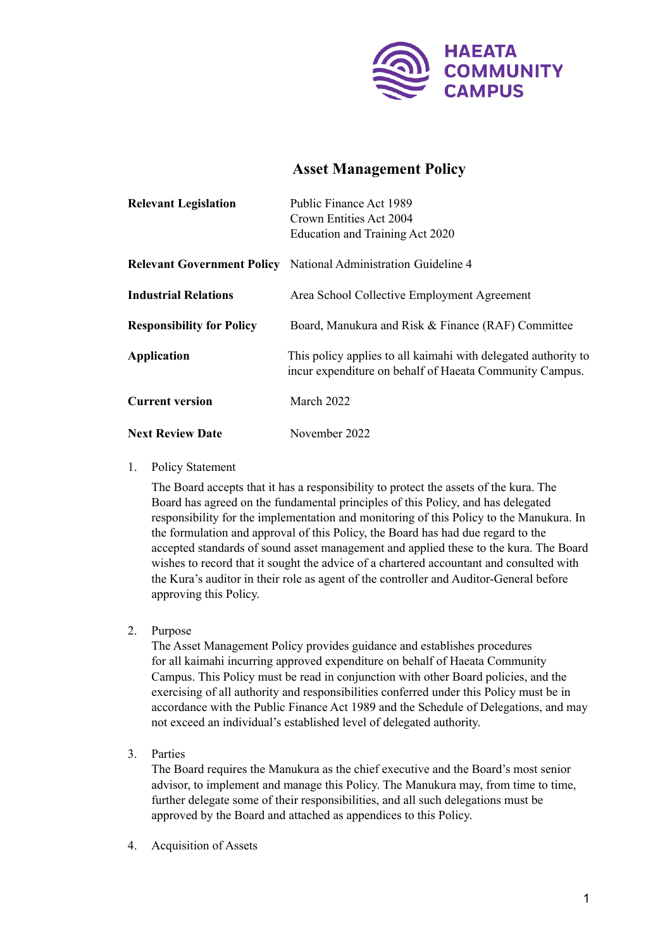

# **Asset Management Policy**

| <b>Relevant Legislation</b>      | Public Finance Act 1989                                                                                                   |
|----------------------------------|---------------------------------------------------------------------------------------------------------------------------|
|                                  | Crown Entities Act 2004                                                                                                   |
|                                  | Education and Training Act 2020                                                                                           |
|                                  | <b>Relevant Government Policy</b> National Administration Guideline 4                                                     |
| <b>Industrial Relations</b>      | Area School Collective Employment Agreement                                                                               |
| <b>Responsibility for Policy</b> | Board, Manukura and Risk & Finance (RAF) Committee                                                                        |
| <b>Application</b>               | This policy applies to all kaimahi with delegated authority to<br>incur expenditure on behalf of Haeata Community Campus. |
| <b>Current version</b>           | March 2022                                                                                                                |
| <b>Next Review Date</b>          | November 2022                                                                                                             |

## 1. Policy Statement

The Board accepts that it has a responsibility to protect the assets of the kura. The Board has agreed on the fundamental principles of this Policy, and has delegated responsibility for the implementation and monitoring of this Policy to the Manukura. In the formulation and approval of this Policy, the Board has had due regard to the accepted standards of sound asset management and applied these to the kura. The Board wishes to record that it sought the advice of a chartered accountant and consulted with the Kura's auditor in their role as agent of the controller and Auditor-General before approving this Policy.

2. Purpose

The Asset Management Policy provides guidance and establishes procedures for all kaimahi incurring approved expenditure on behalf of Haeata Community Campus. This Policy must be read in conjunction with other Board policies, and the exercising of all authority and responsibilities conferred under this Policy must be in accordance with the Public Finance Act 1989 and the Schedule of Delegations, and may not exceed an individual's established level of delegated authority.

3. Parties

The Board requires the Manukura as the chief executive and the Board's most senior advisor, to implement and manage this Policy. The Manukura may, from time to time, further delegate some of their responsibilities, and all such delegations must be approved by the Board and attached as appendices to this Policy.

4. Acquisition of Assets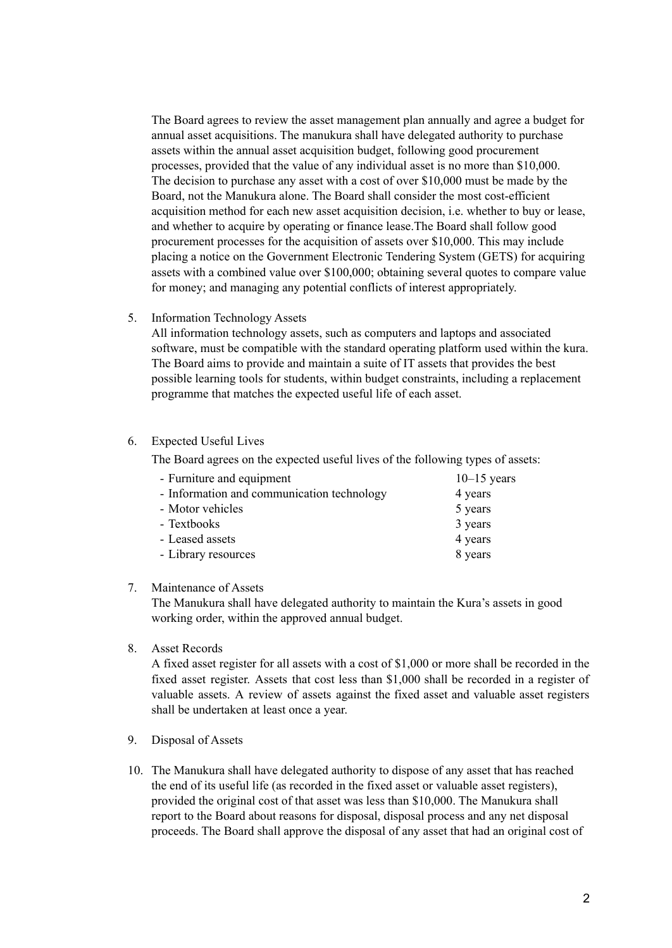The Board agrees to review the asset management plan annually and agree a budget for annual asset acquisitions. The manukura shall have delegated authority to purchase assets within the annual asset acquisition budget, following good procurement processes, provided that the value of any individual asset is no more than \$10,000. The decision to purchase any asset with a cost of over \$10,000 must be made by the Board, not the Manukura alone. The Board shall consider the most cost-efficient acquisition method for each new asset acquisition decision, i.e. whether to buy or lease, and whether to acquire by operating or finance lease.The Board shall follow good procurement processes for the acquisition of assets over \$10,000. This may include placing a notice on the Government Electronic Tendering System (GETS) for acquiring assets with a combined value over \$100,000; obtaining several quotes to compare value for money; and managing any potential conflicts of interest appropriately.

5. Information Technology Assets

All information technology assets, such as computers and laptops and associated software, must be compatible with the standard operating platform used within the kura. The Board aims to provide and maintain a suite of IT assets that provides the best possible learning tools for students, within budget constraints, including a replacement programme that matches the expected useful life of each asset.

### 6. Expected Useful Lives

The Board agrees on the expected useful lives of the following types of assets:

| - Furniture and equipment                  | $10-15$ years |
|--------------------------------------------|---------------|
| - Information and communication technology | 4 years       |
| - Motor vehicles                           | 5 years       |
| - Textbooks                                | 3 years       |
| - Leased assets                            | 4 years       |
| - Library resources                        | 8 years       |

#### 7. Maintenance of Assets

The Manukura shall have delegated authority to maintain the Kura's assets in good working order, within the approved annual budget.

#### 8. Asset Records

A fixed asset register for all assets with a cost of \$1,000 or more shall be recorded in the fixed asset register. Assets that cost less than \$1,000 shall be recorded in a register of valuable assets. A review of assets against the fixed asset and valuable asset registers shall be undertaken at least once a year.

- 9. Disposal of Assets
- 10. The Manukura shall have delegated authority to dispose of any asset that has reached the end of its useful life (as recorded in the fixed asset or valuable asset registers), provided the original cost of that asset was less than \$10,000. The Manukura shall report to the Board about reasons for disposal, disposal process and any net disposal proceeds. The Board shall approve the disposal of any asset that had an original cost of